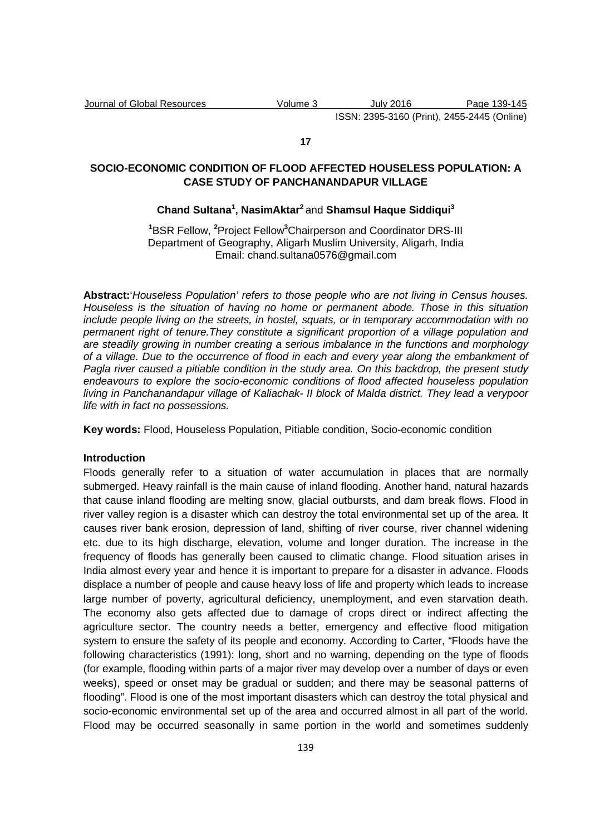#### **17**

# **SOCIO-ECONOMIC CONDITION OF FLOOD AFFECTED HOUSELESS POPULATION: A CASE STUDY OF PANCHANANDAPUR VILLAGE**

## **Chand Sultana<sup>1</sup> , NasimAktar<sup>2</sup>**and **Shamsul Haque Siddiqui<sup>3</sup>**

**<sup>1</sup>**BSR Fellow, **<sup>2</sup>**Project Fellow**<sup>3</sup>**Chairperson and Coordinator DRS-III Department of Geography, Aligarh Muslim University, Aligarh, India Email: chand.sultana0576@gmail.com

**Abstract:**'Houseless Population' refers to those people who are not living in Census houses. Houseless is the situation of having no home or permanent abode. Those in this situation include people living on the streets, in hostel, squats, or in temporary accommodation with no permanent right of tenure.They constitute a significant proportion of a village population and are steadily growing in number creating a serious imbalance in the functions and morphology of a village. Due to the occurrence of flood in each and every year along the embankment of Pagla river caused a pitiable condition in the study area. On this backdrop, the present study endeavours to explore the socio-economic conditions of flood affected houseless population living in Panchanandapur village of Kaliachak- II block of Malda district. They lead a verypoor life with in fact no possessions.

**Key words:** Flood, Houseless Population, Pitiable condition, Socio-economic condition

### **Introduction**

Floods generally refer to a situation of water accumulation in places that are normally submerged. Heavy rainfall is the main cause of inland flooding. Another hand, natural hazards that cause inland flooding are melting snow, glacial outbursts, and dam break flows. Flood in river valley region is a disaster which can destroy the total environmental set up of the area. It causes river bank erosion, depression of land, shifting of river course, river channel widening etc. due to its high discharge, elevation, volume and longer duration. The increase in the frequency of floods has generally been caused to climatic change. Flood situation arises in India almost every year and hence it is important to prepare for a disaster in advance. Floods displace a number of people and cause heavy loss of life and property which leads to increase large number of poverty, agricultural deficiency, unemployment, and even starvation death. The economy also gets affected due to damage of crops direct or indirect affecting the agriculture sector. The country needs a better, emergency and effective flood mitigation system to ensure the safety of its people and economy. According to Carter, "Floods have the following characteristics (1991): long, short and no warning, depending on the type of floods (for example, flooding within parts of a major river may develop over a number of days or even weeks), speed or onset may be gradual or sudden; and there may be seasonal patterns of flooding". Flood is one of the most important disasters which can destroy the total physical and socio-economic environmental set up of the area and occurred almost in all part of the world. Flood may be occurred seasonally in same portion in the world and sometimes suddenly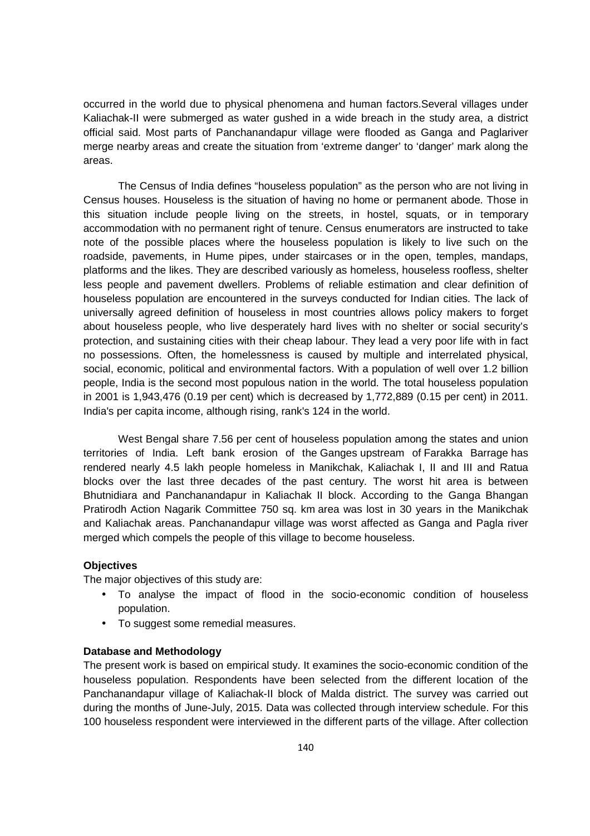occurred in the world due to physical phenomena and human factors.Several villages under Kaliachak-II were submerged as water gushed in a wide breach in the study area, a district official said. Most parts of Panchanandapur village were flooded as Ganga and Paglariver merge nearby areas and create the situation from 'extreme danger' to 'danger' mark along the areas.

The Census of India defines "houseless population" as the person who are not living in Census houses. Houseless is the situation of having no home or permanent abode. Those in this situation include people living on the streets, in hostel, squats, or in temporary accommodation with no permanent right of tenure. Census enumerators are instructed to take note of the possible places where the houseless population is likely to live such on the roadside, pavements, in Hume pipes, under staircases or in the open, temples, mandaps, platforms and the likes. They are described variously as homeless, houseless roofless, shelter less people and pavement dwellers. Problems of reliable estimation and clear definition of houseless population are encountered in the surveys conducted for Indian cities. The lack of universally agreed definition of houseless in most countries allows policy makers to forget about houseless people, who live desperately hard lives with no shelter or social security's protection, and sustaining cities with their cheap labour. They lead a very poor life with in fact no possessions. Often, the homelessness is caused by multiple and interrelated physical, social, economic, political and environmental factors. With a population of well over 1.2 billion people, India is the second most populous nation in the world. The total houseless population in 2001 is 1,943,476 (0.19 per cent) which is decreased by 1,772,889 (0.15 per cent) in 2011. India's per capita income, although rising, rank's 124 in the world.

West Bengal share 7.56 per cent of houseless population among the states and union territories of India. Left bank erosion of the Ganges upstream of Farakka Barrage has rendered nearly 4.5 lakh people homeless in Manikchak, Kaliachak I, II and III and Ratua blocks over the last three decades of the past century. The worst hit area is between Bhutnidiara and Panchanandapur in Kaliachak II block. According to the Ganga Bhangan Pratirodh Action Nagarik Committee 750 sq. km area was lost in 30 years in the Manikchak and Kaliachak areas. Panchanandapur village was worst affected as Ganga and Pagla river merged which compels the people of this village to become houseless.

#### **Objectives**

The major objectives of this study are:

- To analyse the impact of flood in the socio-economic condition of houseless population.
- To suggest some remedial measures.

### **Database and Methodology**

The present work is based on empirical study. It examines the socio-economic condition of the houseless population. Respondents have been selected from the different location of the Panchanandapur village of Kaliachak-II block of Malda district. The survey was carried out during the months of June-July, 2015. Data was collected through interview schedule. For this 100 houseless respondent were interviewed in the different parts of the village. After collection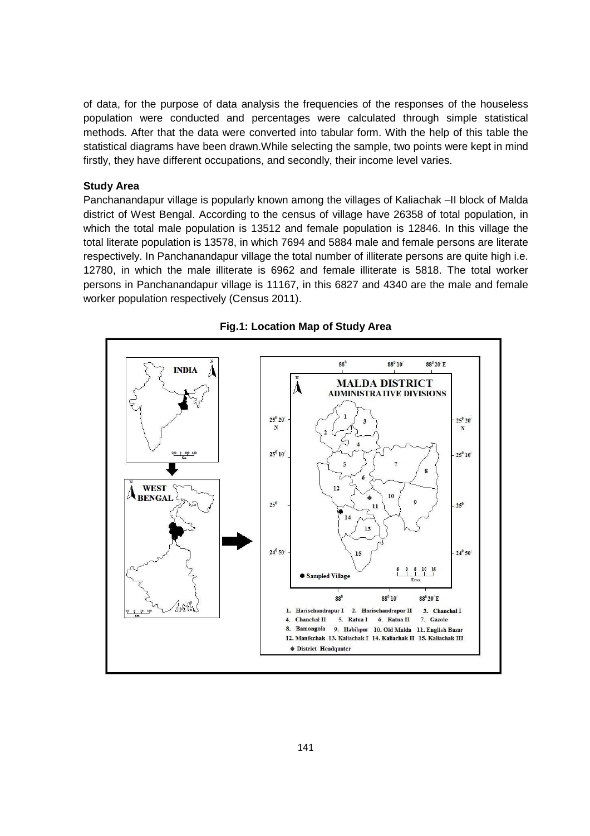of data, for the purpose of data analysis the frequencies of the responses of the houseless population were conducted and percentages were calculated through simple statistical methods. After that the data were converted into tabular form. With the help of this table the statistical diagrams have been drawn.While selecting the sample, two points were kept in mind firstly, they have different occupations, and secondly, their income level varies.

### **Study Area**

Panchanandapur village is popularly known among the villages of Kaliachak –II block of Malda district of West Bengal. According to the census of village have 26358 of total population, in which the total male population is 13512 and female population is 12846. In this village the total literate population is 13578, in which 7694 and 5884 male and female persons are literate respectively. In Panchanandapur village the total number of illiterate persons are quite high i.e. 12780, in which the male illiterate is 6962 and female illiterate is 5818. The total worker persons in Panchanandapur village is 11167, in this 6827 and 4340 are the male and female worker population respectively (Census 2011).



### **Fig.1: Location Map of Study Area**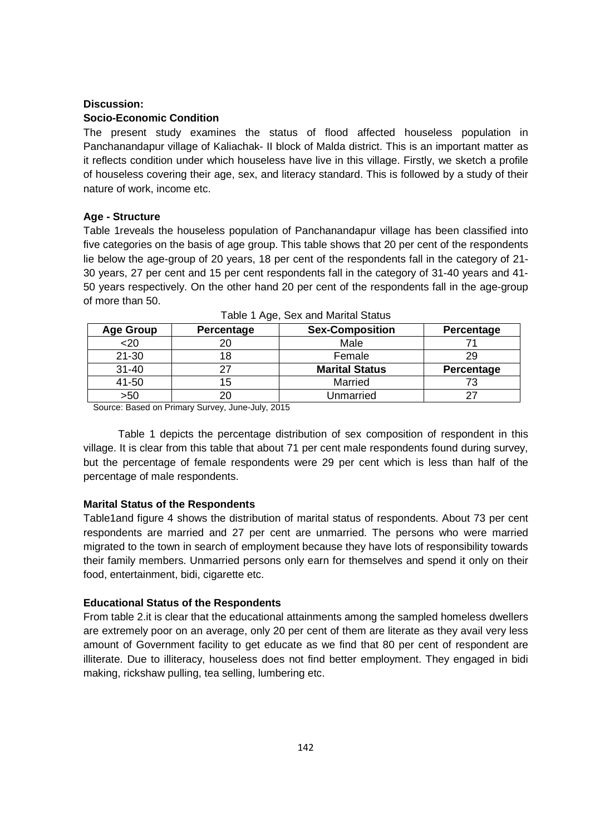#### **Discussion:**

### **Socio-Economic Condition**

The present study examines the status of flood affected houseless population in Panchanandapur village of Kaliachak- II block of Malda district. This is an important matter as it reflects condition under which houseless have live in this village. Firstly, we sketch a profile of houseless covering their age, sex, and literacy standard. This is followed by a study of their nature of work, income etc.

### **Age - Structure**

Table 1reveals the houseless population of Panchanandapur village has been classified into five categories on the basis of age group. This table shows that 20 per cent of the respondents lie below the age-group of 20 years, 18 per cent of the respondents fall in the category of 21- 30 years, 27 per cent and 15 per cent respondents fall in the category of 31-40 years and 41- 50 years respectively. On the other hand 20 per cent of the respondents fall in the age-group of more than 50.

| <b>Age Group</b> | Percentage | <b>Sex-Composition</b> | Percentage |
|------------------|------------|------------------------|------------|
| $20$             | 20         | Male                   |            |
| $21 - 30$        | 18         | Female                 | 29         |
| $31 - 40$        |            | <b>Marital Status</b>  | Percentage |
| 41-50            | 15         | Married                |            |
| >50              |            | Unmarried              | 27         |

Source: Based on Primary Survey, June-July, 2015

Table 1 depicts the percentage distribution of sex composition of respondent in this village. It is clear from this table that about 71 per cent male respondents found during survey, but the percentage of female respondents were 29 per cent which is less than half of the percentage of male respondents.

## **Marital Status of the Respondents**

Table1and figure 4 shows the distribution of marital status of respondents. About 73 per cent respondents are married and 27 per cent are unmarried. The persons who were married migrated to the town in search of employment because they have lots of responsibility towards their family members. Unmarried persons only earn for themselves and spend it only on their food, entertainment, bidi, cigarette etc.

## **Educational Status of the Respondents**

From table 2.it is clear that the educational attainments among the sampled homeless dwellers are extremely poor on an average, only 20 per cent of them are literate as they avail very less amount of Government facility to get educate as we find that 80 per cent of respondent are illiterate. Due to illiteracy, houseless does not find better employment. They engaged in bidi making, rickshaw pulling, tea selling, lumbering etc.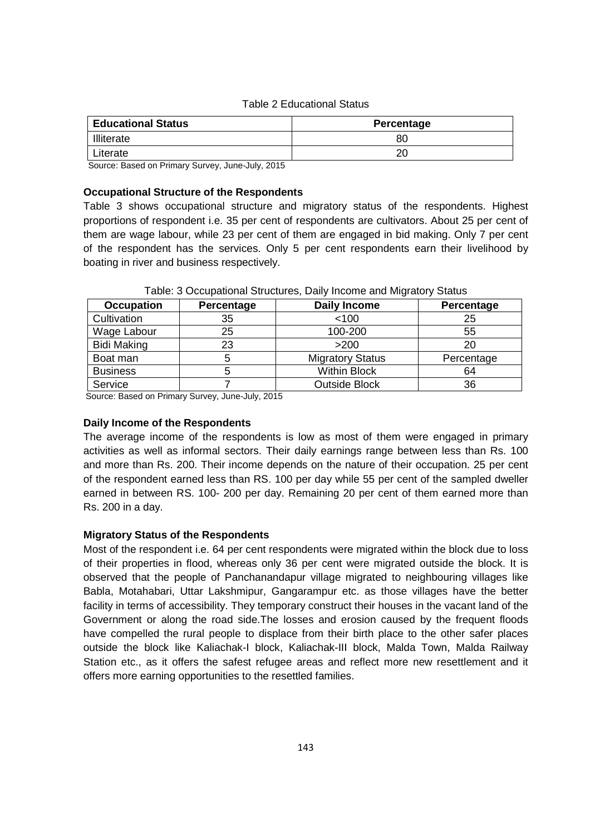## Table 2 Educational Status

| <b>Educational Status</b> | Percentage |  |
|---------------------------|------------|--|
| Illiterate                | 80         |  |
| Literate                  | 20         |  |

Source: Based on Primary Survey, June-July, 2015

## **Occupational Structure of the Respondents**

Table 3 shows occupational structure and migratory status of the respondents. Highest proportions of respondent i.e. 35 per cent of respondents are cultivators. About 25 per cent of them are wage labour, while 23 per cent of them are engaged in bid making. Only 7 per cent of the respondent has the services. Only 5 per cent respondents earn their livelihood by boating in river and business respectively.

| <b>Occupation</b>  | Percentage | <b>Daily Income</b>     | Percentage |
|--------------------|------------|-------------------------|------------|
| Cultivation        | 35         | < 100                   | 25         |
| Wage Labour        | 25         | 100-200                 | 55         |
| <b>Bidi Making</b> | 23         | >200                    | 20         |
| Boat man           | 5          | <b>Migratory Status</b> | Percentage |
| <b>Business</b>    | b          | <b>Within Block</b>     | 64         |
| Service            |            | <b>Outside Block</b>    | 36         |

## Table: 3 Occupational Structures, Daily Income and Migratory Status

Source: Based on Primary Survey, June-July, 2015

## **Daily Income of the Respondents**

The average income of the respondents is low as most of them were engaged in primary activities as well as informal sectors. Their daily earnings range between less than Rs. 100 and more than Rs. 200. Their income depends on the nature of their occupation. 25 per cent of the respondent earned less than RS. 100 per day while 55 per cent of the sampled dweller earned in between RS. 100- 200 per day. Remaining 20 per cent of them earned more than Rs. 200 in a day.

## **Migratory Status of the Respondents**

Most of the respondent i.e. 64 per cent respondents were migrated within the block due to loss of their properties in flood, whereas only 36 per cent were migrated outside the block. It is observed that the people of Panchanandapur village migrated to neighbouring villages like Babla, Motahabari, Uttar Lakshmipur, Gangarampur etc. as those villages have the better facility in terms of accessibility. They temporary construct their houses in the vacant land of the Government or along the road side.The losses and erosion caused by the frequent floods have compelled the rural people to displace from their birth place to the other safer places outside the block like Kaliachak-I block, Kaliachak-III block, Malda Town, Malda Railway Station etc., as it offers the safest refugee areas and reflect more new resettlement and it offers more earning opportunities to the resettled families.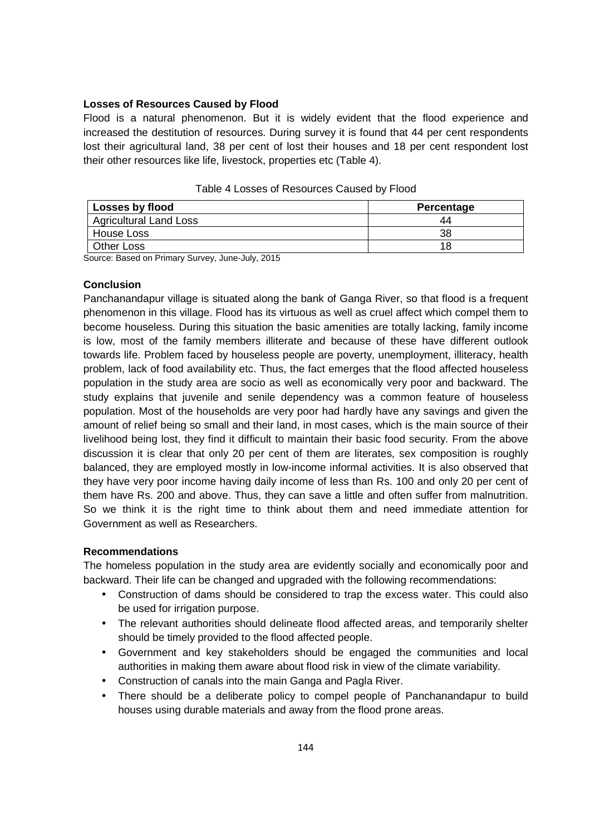## **Losses of Resources Caused by Flood**

Flood is a natural phenomenon. But it is widely evident that the flood experience and increased the destitution of resources. During survey it is found that 44 per cent respondents lost their agricultural land, 38 per cent of lost their houses and 18 per cent respondent lost their other resources like life, livestock, properties etc (Table 4).

| Losses by flood               | Percentage |  |
|-------------------------------|------------|--|
| <b>Agricultural Land Loss</b> |            |  |
| House Loss                    |            |  |
| <b>Other Loss</b>             |            |  |

Table 4 Losses of Resources Caused by Flood

Source: Based on Primary Survey, June-July, 2015

## **Conclusion**

Panchanandapur village is situated along the bank of Ganga River, so that flood is a frequent phenomenon in this village. Flood has its virtuous as well as cruel affect which compel them to become houseless. During this situation the basic amenities are totally lacking, family income is low, most of the family members illiterate and because of these have different outlook towards life. Problem faced by houseless people are poverty, unemployment, illiteracy, health problem, lack of food availability etc. Thus, the fact emerges that the flood affected houseless population in the study area are socio as well as economically very poor and backward. The study explains that juvenile and senile dependency was a common feature of houseless population. Most of the households are very poor had hardly have any savings and given the amount of relief being so small and their land, in most cases, which is the main source of their livelihood being lost, they find it difficult to maintain their basic food security. From the above discussion it is clear that only 20 per cent of them are literates, sex composition is roughly balanced, they are employed mostly in low-income informal activities. It is also observed that they have very poor income having daily income of less than Rs. 100 and only 20 per cent of them have Rs. 200 and above. Thus, they can save a little and often suffer from malnutrition. So we think it is the right time to think about them and need immediate attention for Government as well as Researchers.

## **Recommendations**

The homeless population in the study area are evidently socially and economically poor and backward. Their life can be changed and upgraded with the following recommendations:

- Construction of dams should be considered to trap the excess water. This could also be used for irrigation purpose.
- The relevant authorities should delineate flood affected areas, and temporarily shelter should be timely provided to the flood affected people.
- Government and key stakeholders should be engaged the communities and local authorities in making them aware about flood risk in view of the climate variability.
- Construction of canals into the main Ganga and Pagla River.
- There should be a deliberate policy to compel people of Panchanandapur to build houses using durable materials and away from the flood prone areas.